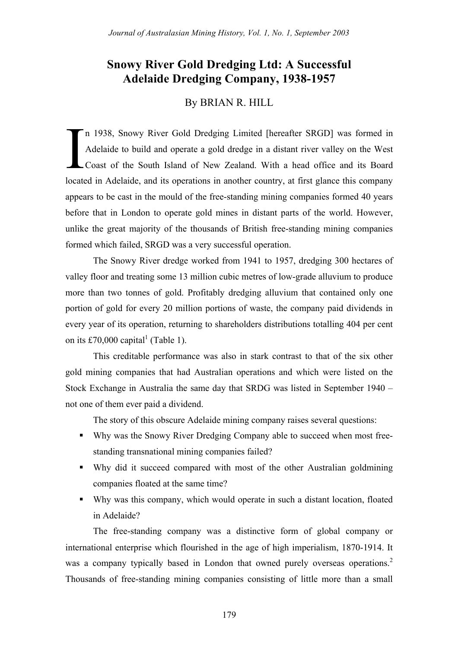# **Snowy River Gold Dredging Ltd: A Successful Adelaide Dredging Company, 1938-1957**

# By BRIAN R. HILL

n 1938, Snowy River Gold Dredging Limited [hereafter SRGD] was formed in Adelaide to build and operate a gold dredge in a distant river valley on the West Coast of the South Island of New Zealand. With a head office and its Board located in Adelaide, and its operations in another country, at first glance this company appears to be cast in the mould of the free-standing mining companies formed 40 years before that in London to operate gold mines in distant parts of the world. However, unlike the great majority of the thousands of British free-standing mining companies formed which failed, SRGD was a very successful operation. I

The Snowy River dredge worked from 1941 to 1957, dredging 300 hectares of valley floor and treating some 13 million cubic metres of low-grade alluvium to produce more than two tonnes of gold. Profitably dredging alluvium that contained only one portion of gold for every 20 million portions of waste, the company paid dividends in every year of its operation, returning to shareholders distributions totalling 404 per cent on its £70,000 capital<sup>1</sup> (Table 1).

This creditable performance was also in stark contrast to that of the six other gold mining companies that had Australian operations and which were listed on the Stock Exchange in Australia the same day that SRDG was listed in September 1940 – not one of them ever paid a dividend.

The story of this obscure Adelaide mining company raises several questions:

- ! Why was the Snowy River Dredging Company able to succeed when most freestanding transnational mining companies failed?
- ! Why did it succeed compared with most of the other Australian goldmining companies floated at the same time?
- ! Why was this company, which would operate in such a distant location, floated in Adelaide?

The free-standing company was a distinctive form of global company or international enterprise which flourished in the age of high imperialism, 1870-1914. It was a company typically based in London that owned purely overseas operations.<sup>2</sup> Thousands of free-standing mining companies consisting of little more than a small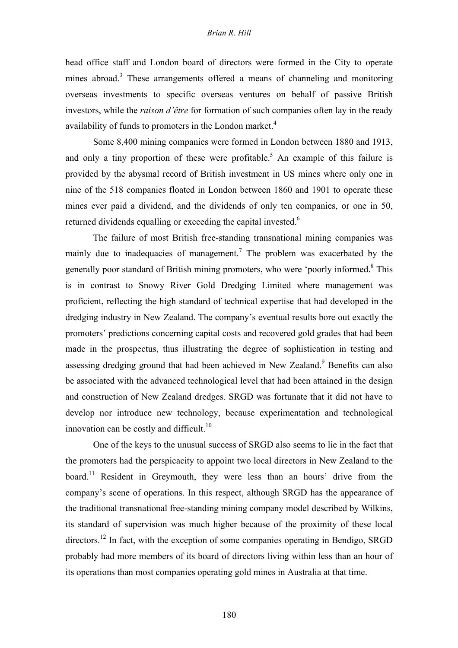# *Brian R. Hill*

head office staff and London board of directors were formed in the City to operate mines abroad.<sup>3</sup> These arrangements offered a means of channeling and monitoring overseas investments to specific overseas ventures on behalf of passive British investors, while the *raison d'être* for formation of such companies often lay in the ready availability of funds to promoters in the London market. $4$ 

Some 8,400 mining companies were formed in London between 1880 and 1913, and only a tiny proportion of these were profitable.<sup>5</sup> An example of this failure is provided by the abysmal record of British investment in US mines where only one in nine of the 518 companies floated in London between 1860 and 1901 to operate these mines ever paid a dividend, and the dividends of only ten companies, or one in 50, returned dividends equalling or exceeding the capital invested.<sup>6</sup>

The failure of most British free-standing transnational mining companies was mainly due to inadequacies of management.<sup>7</sup> The problem was exacerbated by the generally poor standard of British mining promoters, who were 'poorly informed.<sup>8</sup> This is in contrast to Snowy River Gold Dredging Limited where management was proficient, reflecting the high standard of technical expertise that had developed in the dredging industry in New Zealand. The company's eventual results bore out exactly the promoters' predictions concerning capital costs and recovered gold grades that had been made in the prospectus, thus illustrating the degree of sophistication in testing and assessing dredging ground that had been achieved in New Zealand.<sup>9</sup> Benefits can also be associated with the advanced technological level that had been attained in the design and construction of New Zealand dredges. SRGD was fortunate that it did not have to develop nor introduce new technology, because experimentation and technological innovation can be costly and difficult. $10$ 

One of the keys to the unusual success of SRGD also seems to lie in the fact that the promoters had the perspicacity to appoint two local directors in New Zealand to the board.<sup>11</sup> Resident in Greymouth, they were less than an hours' drive from the company's scene of operations. In this respect, although SRGD has the appearance of the traditional transnational free-standing mining company model described by Wilkins, its standard of supervision was much higher because of the proximity of these local directors.<sup>12</sup> In fact, with the exception of some companies operating in Bendigo, SRGD probably had more members of its board of directors living within less than an hour of its operations than most companies operating gold mines in Australia at that time.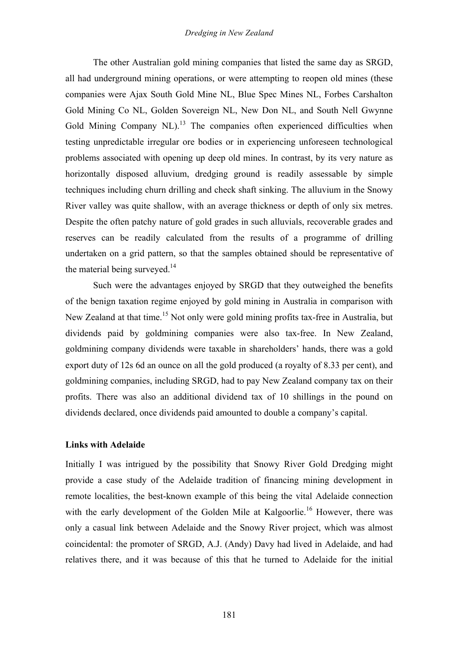The other Australian gold mining companies that listed the same day as SRGD, all had underground mining operations, or were attempting to reopen old mines (these companies were Ajax South Gold Mine NL, Blue Spec Mines NL, Forbes Carshalton Gold Mining Co NL, Golden Sovereign NL, New Don NL, and South Nell Gwynne Gold Mining Company  $\text{NL}$ <sup>13</sup> The companies often experienced difficulties when testing unpredictable irregular ore bodies or in experiencing unforeseen technological problems associated with opening up deep old mines. In contrast, by its very nature as horizontally disposed alluvium, dredging ground is readily assessable by simple techniques including churn drilling and check shaft sinking. The alluvium in the Snowy River valley was quite shallow, with an average thickness or depth of only six metres. Despite the often patchy nature of gold grades in such alluvials, recoverable grades and reserves can be readily calculated from the results of a programme of drilling undertaken on a grid pattern, so that the samples obtained should be representative of the material being surveyed. $14$ 

Such were the advantages enjoyed by SRGD that they outweighed the benefits of the benign taxation regime enjoyed by gold mining in Australia in comparison with New Zealand at that time.<sup>15</sup> Not only were gold mining profits tax-free in Australia, but dividends paid by goldmining companies were also tax-free. In New Zealand, goldmining company dividends were taxable in shareholders' hands, there was a gold export duty of 12s 6d an ounce on all the gold produced (a royalty of 8.33 per cent), and goldmining companies, including SRGD, had to pay New Zealand company tax on their profits. There was also an additional dividend tax of 10 shillings in the pound on dividends declared, once dividends paid amounted to double a company's capital.

# **Links with Adelaide**

Initially I was intrigued by the possibility that Snowy River Gold Dredging might provide a case study of the Adelaide tradition of financing mining development in remote localities, the best-known example of this being the vital Adelaide connection with the early development of the Golden Mile at Kalgoorlie.<sup>16</sup> However, there was only a casual link between Adelaide and the Snowy River project, which was almost coincidental: the promoter of SRGD, A.J. (Andy) Davy had lived in Adelaide, and had relatives there, and it was because of this that he turned to Adelaide for the initial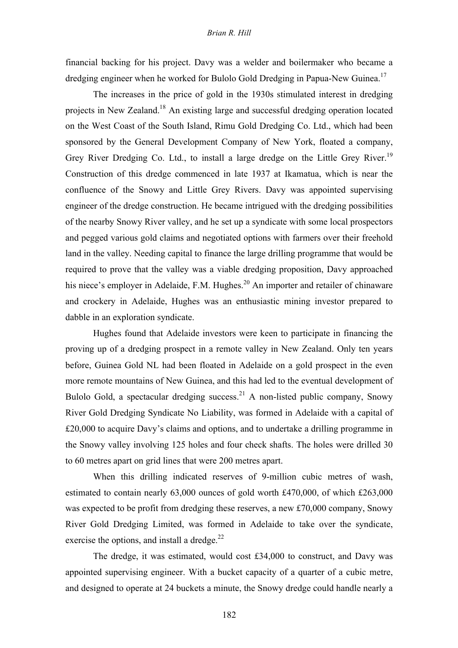# *Brian R. Hill*

financial backing for his project. Davy was a welder and boilermaker who became a dredging engineer when he worked for Bulolo Gold Dredging in Papua-New Guinea.<sup>17</sup>

The increases in the price of gold in the 1930s stimulated interest in dredging projects in New Zealand.18 An existing large and successful dredging operation located on the West Coast of the South Island, Rimu Gold Dredging Co. Ltd., which had been sponsored by the General Development Company of New York, floated a company, Grey River Dredging Co. Ltd., to install a large dredge on the Little Grey River.<sup>19</sup> Construction of this dredge commenced in late 1937 at Ikamatua, which is near the confluence of the Snowy and Little Grey Rivers. Davy was appointed supervising engineer of the dredge construction. He became intrigued with the dredging possibilities of the nearby Snowy River valley, and he set up a syndicate with some local prospectors and pegged various gold claims and negotiated options with farmers over their freehold land in the valley. Needing capital to finance the large drilling programme that would be required to prove that the valley was a viable dredging proposition, Davy approached his niece's employer in Adelaide, F.M. Hughes.<sup>20</sup> An importer and retailer of chinaware and crockery in Adelaide, Hughes was an enthusiastic mining investor prepared to dabble in an exploration syndicate.

Hughes found that Adelaide investors were keen to participate in financing the proving up of a dredging prospect in a remote valley in New Zealand. Only ten years before, Guinea Gold NL had been floated in Adelaide on a gold prospect in the even more remote mountains of New Guinea, and this had led to the eventual development of Bulolo Gold, a spectacular dredging success.<sup>21</sup> A non-listed public company, Snowy River Gold Dredging Syndicate No Liability, was formed in Adelaide with a capital of £20,000 to acquire Davy's claims and options, and to undertake a drilling programme in the Snowy valley involving 125 holes and four check shafts. The holes were drilled 30 to 60 metres apart on grid lines that were 200 metres apart.

When this drilling indicated reserves of 9-million cubic metres of wash, estimated to contain nearly 63,000 ounces of gold worth £470,000, of which £263,000 was expected to be profit from dredging these reserves, a new £70,000 company, Snowy River Gold Dredging Limited, was formed in Adelaide to take over the syndicate, exercise the options, and install a dredge. $^{22}$ 

The dredge, it was estimated, would cost £34,000 to construct, and Davy was appointed supervising engineer. With a bucket capacity of a quarter of a cubic metre, and designed to operate at 24 buckets a minute, the Snowy dredge could handle nearly a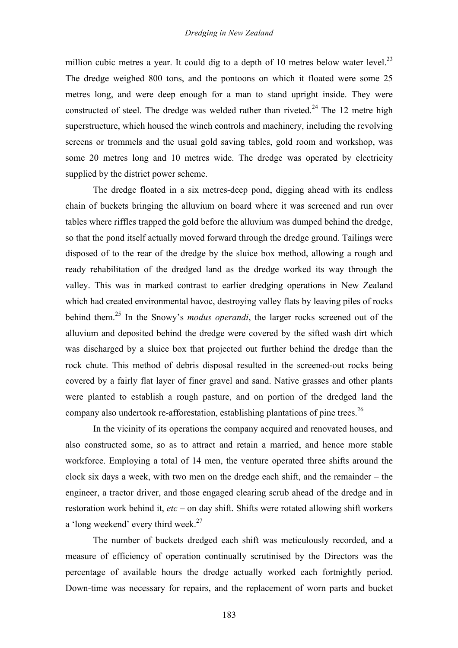million cubic metres a year. It could dig to a depth of 10 metres below water level.<sup>23</sup> The dredge weighed 800 tons, and the pontoons on which it floated were some 25 metres long, and were deep enough for a man to stand upright inside. They were constructed of steel. The dredge was welded rather than riveted.<sup>24</sup> The 12 metre high superstructure, which housed the winch controls and machinery, including the revolving screens or trommels and the usual gold saving tables, gold room and workshop, was some 20 metres long and 10 metres wide. The dredge was operated by electricity supplied by the district power scheme.

The dredge floated in a six metres-deep pond, digging ahead with its endless chain of buckets bringing the alluvium on board where it was screened and run over tables where riffles trapped the gold before the alluvium was dumped behind the dredge, so that the pond itself actually moved forward through the dredge ground. Tailings were disposed of to the rear of the dredge by the sluice box method, allowing a rough and ready rehabilitation of the dredged land as the dredge worked its way through the valley. This was in marked contrast to earlier dredging operations in New Zealand which had created environmental havoc, destroying valley flats by leaving piles of rocks behind them.<sup>25</sup> In the Snowy's *modus operandi*, the larger rocks screened out of the alluvium and deposited behind the dredge were covered by the sifted wash dirt which was discharged by a sluice box that projected out further behind the dredge than the rock chute. This method of debris disposal resulted in the screened-out rocks being covered by a fairly flat layer of finer gravel and sand. Native grasses and other plants were planted to establish a rough pasture, and on portion of the dredged land the company also undertook re-afforestation, establishing plantations of pine trees.<sup>26</sup>

In the vicinity of its operations the company acquired and renovated houses, and also constructed some, so as to attract and retain a married, and hence more stable workforce. Employing a total of 14 men, the venture operated three shifts around the clock six days a week, with two men on the dredge each shift, and the remainder – the engineer, a tractor driver, and those engaged clearing scrub ahead of the dredge and in restoration work behind it, *etc* – on day shift. Shifts were rotated allowing shift workers a 'long weekend' every third week. $27$ 

The number of buckets dredged each shift was meticulously recorded, and a measure of efficiency of operation continually scrutinised by the Directors was the percentage of available hours the dredge actually worked each fortnightly period. Down-time was necessary for repairs, and the replacement of worn parts and bucket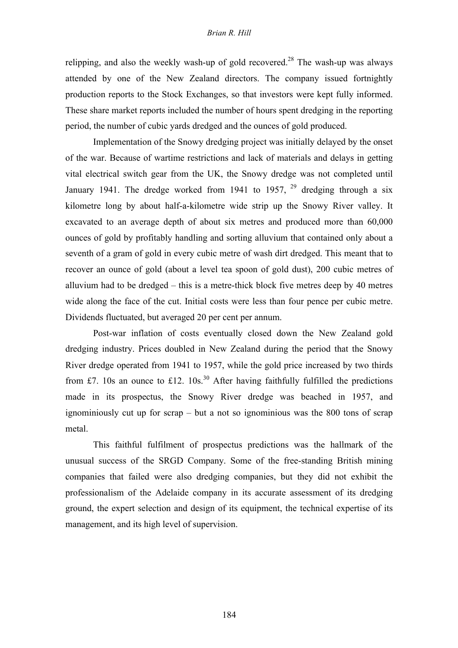# *Brian R. Hill*

relipping, and also the weekly wash-up of gold recovered.<sup>28</sup> The wash-up was always attended by one of the New Zealand directors. The company issued fortnightly production reports to the Stock Exchanges, so that investors were kept fully informed. These share market reports included the number of hours spent dredging in the reporting period, the number of cubic yards dredged and the ounces of gold produced.

Implementation of the Snowy dredging project was initially delayed by the onset of the war. Because of wartime restrictions and lack of materials and delays in getting vital electrical switch gear from the UK, the Snowy dredge was not completed until January 1941. The dredge worked from 1941 to 1957,  $^{29}$  dredging through a six kilometre long by about half-a-kilometre wide strip up the Snowy River valley. It excavated to an average depth of about six metres and produced more than 60,000 ounces of gold by profitably handling and sorting alluvium that contained only about a seventh of a gram of gold in every cubic metre of wash dirt dredged. This meant that to recover an ounce of gold (about a level tea spoon of gold dust), 200 cubic metres of alluvium had to be dredged – this is a metre-thick block five metres deep by 40 metres wide along the face of the cut. Initial costs were less than four pence per cubic metre. Dividends fluctuated, but averaged 20 per cent per annum.

Post-war inflation of costs eventually closed down the New Zealand gold dredging industry. Prices doubled in New Zealand during the period that the Snowy River dredge operated from 1941 to 1957, while the gold price increased by two thirds from £7. 10s an ounce to £12. 10s.<sup>30</sup> After having faithfully fulfilled the predictions made in its prospectus, the Snowy River dredge was beached in 1957, and ignominiously cut up for scrap – but a not so ignominious was the 800 tons of scrap metal.

This faithful fulfilment of prospectus predictions was the hallmark of the unusual success of the SRGD Company. Some of the free-standing British mining companies that failed were also dredging companies, but they did not exhibit the professionalism of the Adelaide company in its accurate assessment of its dredging ground, the expert selection and design of its equipment, the technical expertise of its management, and its high level of supervision.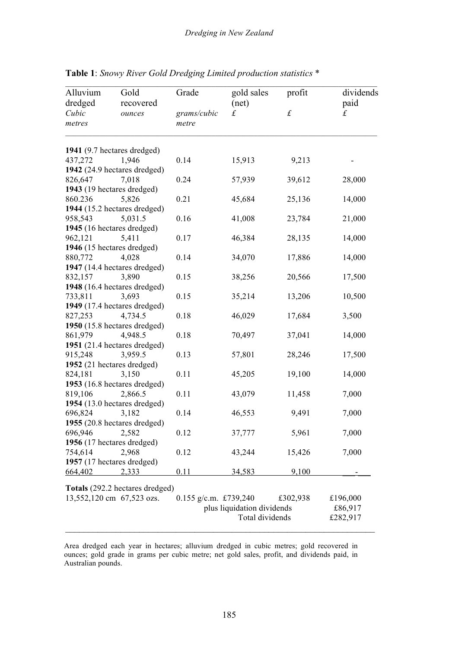| Alluvium<br>dredged<br>Cubic<br>metres | Gold<br>recovered<br>ounces           | Grade<br>grams/cubic<br>metre | gold sales<br>(net)<br>$\pounds$ | profit<br>$\pounds$ | dividends<br>paid<br>$\pounds$ |
|----------------------------------------|---------------------------------------|-------------------------------|----------------------------------|---------------------|--------------------------------|
|                                        |                                       |                               |                                  |                     |                                |
| 437,272                                | 1,946                                 | 0.14                          | 15,913                           | 9,213               |                                |
|                                        | 1942 (24.9 hectares dredged)          |                               |                                  |                     |                                |
| 826,647                                | 7,018                                 | 0.24                          | 57,939                           | 39,612              | 28,000                         |
|                                        | 1943 (19 hectares dredged)            |                               |                                  |                     |                                |
| 860.236                                | 5,826                                 | 0.21                          | 45,684                           | 25,136              | 14,000                         |
|                                        | 1944 (15.2 hectares dredged)          |                               |                                  |                     |                                |
| 958,543                                | 5,031.5                               | 0.16                          | 41,008                           | 23,784              | 21,000                         |
|                                        | 1945 (16 hectares dredged)            |                               |                                  |                     |                                |
| 962,121                                | 5,411                                 | 0.17                          | 46,384                           | 28,135              | 14,000                         |
|                                        | 1946 (15 hectares dredged)            |                               |                                  |                     |                                |
| 880,772                                | 4,028<br>1947 (14.4 hectares dredged) | 0.14                          | 34,070                           | 17,886              | 14,000                         |
| 832,157                                | 3,890                                 | 0.15                          | 38,256                           | 20,566              | 17,500                         |
|                                        | 1948 (16.4 hectares dredged)          |                               |                                  |                     |                                |
| 733,811                                | 3,693                                 | 0.15                          | 35,214                           | 13,206              | 10,500                         |
|                                        | 1949 (17.4 hectares dredged)          |                               |                                  |                     |                                |
| 827,253                                | 4,734.5                               | 0.18                          | 46,029                           | 17,684              | 3,500                          |
|                                        | 1950 (15.8 hectares dredged)          |                               |                                  |                     |                                |
| 861,979                                | 4,948.5                               | 0.18                          | 70,497                           | 37,041              | 14,000                         |
|                                        | 1951 (21.4 hectares dredged)          |                               |                                  |                     |                                |
| 915,248                                | 3,959.5                               | 0.13                          | 57,801                           | 28,246              | 17,500                         |
|                                        | 1952 (21 hectares dredged)            |                               |                                  |                     |                                |
| 824,181                                | 3,150                                 | 0.11                          | 45,205                           | 19,100              | 14,000                         |
|                                        | 1953 (16.8 hectares dredged)          |                               |                                  |                     |                                |
| 819,106                                | 2,866.5                               | 0.11                          | 43,079                           | 11,458              | 7,000                          |
|                                        | 1954 (13.0 hectares dredged)          |                               |                                  |                     |                                |
| 696,824                                | 3,182                                 | 0.14                          | 46,553                           | 9,491               | 7,000                          |
|                                        | 1955 (20.8 hectares dredged)          |                               |                                  |                     |                                |
| 696,946                                | 2,582                                 | 0.12                          | 37,777                           | 5,961               | 7,000                          |
|                                        | 1956 (17 hectares dredged)            |                               |                                  |                     |                                |
| 754,614                                | 2,968                                 | 0.12                          | 43,244                           | 15,426              | 7,000                          |
|                                        | 1957 (17 hectares dredged)            |                               |                                  |                     |                                |
| 664,402                                | 2,333                                 | 0.11                          | 34,583                           | 9,100               |                                |
|                                        | Totals (292.2 hectares dredged)       |                               |                                  |                     |                                |
|                                        | 13,552,120 cm 67,523 ozs.             | $0.155$ g/c.m. £739,240       |                                  | £302,938            | £196,000                       |
|                                        |                                       | plus liquidation dividends    |                                  |                     | £86,917                        |
|                                        |                                       |                               | Total dividends                  |                     |                                |
|                                        |                                       |                               |                                  |                     |                                |

**Table 1**: *Snowy River Gold Dredging Limited production statistics* \*

Area dredged each year in hectares; alluvium dredged in cubic metres; gold recovered in ounces; gold grade in grams per cubic metre; net gold sales, profit, and dividends paid, in Australian pounds.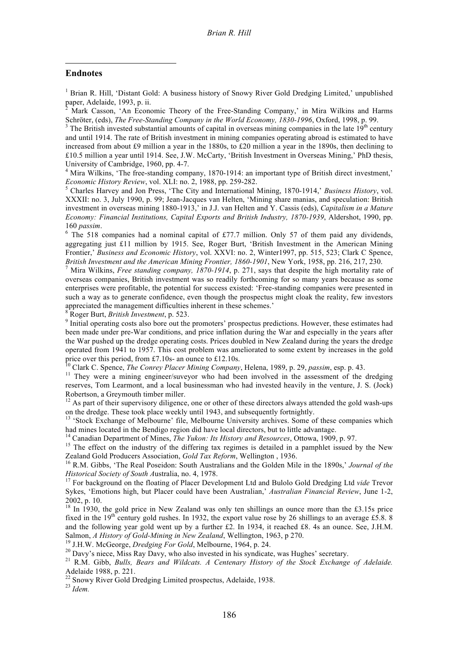#### **Endnotes**

 $\overline{a}$ 

<sup>1</sup> Brian R. Hill, 'Distant Gold: A business history of Snowy River Gold Dredging Limited,' unpublished paper, Adelaide, 1993, p. ii.

Mark Casson, 'An Economic Theory of the Free-Standing Company,' in Mira Wilkins and Harms Schröter, (eds), *The Free-Standing Company in the World Economy, 1830-1996*, Oxford, 1998, p. 99.<br><sup>3</sup> The British invested substantial amounts of capital in overseas mining companies in the late 19<sup>th</sup> century

and until 1914. The rate of British investment in mining companies operating abroad is estimated to have increased from about £9 million a year in the 1880s, to £20 million a year in the 1890s, then declining to £10.5 million a year until 1914. See, J.W. McCarty, 'British Investment in Overseas Mining,' PhD thesis, University of Cambridge, 1960, pp. 4-7.<br><sup>4</sup> Mira Wilkins, 'The free-standing company, 1870-1914: an important type of British direct investment,'

*Economic History Review*, vol. XLI: no. 2, 1988, pp. 259-282.<br><sup>5</sup> Charles Harvey and Jon Press, 'The City and International Mining, 1870-1914,' *Business History*, vol.

XXXII: no. 3, July 1990, p. 99; Jean-Jacques van Helten, 'Mining share manias, and speculation: British investment in overseas mining 1880-1913,' in J.J. van Helten and Y. Cassis (eds), *Capitalism in a Mature Economy: Financial Institutions, Capital Exports and British Industry, 1870-1939*, Aldershot, 1990, pp. 160 *passim*.<br><sup>6</sup> The 518 companies had a nominal capital of £77.7 million. Only 57 of them paid any dividends,

aggregating just £11 million by 1915. See, Roger Burt, 'British Investment in the American Mining Frontier,' *Business and Economic History*, vol. XXVI: no. 2, Winter1997, pp. 515, 523; Clark C Spence, *British Investment and the American Mining Frontier, 1860-1901*, New York, 1958, pp. 216, 217, 230.<br><sup>7</sup> Mira Wilkins. *Free standing company*, 1870-1914, p. 271, says that despite the high mortality rate of

overseas companies, British investment was so readily forthcoming for so many years because as some enterprises were profitable, the potential for success existed: 'Free-standing companies were presented in such a way as to generate confidence, even though the prospectus might cloak the reality, few investors appreciated the management difficulties inherent in these schemes.'<br>
<sup>8</sup> Roger Burt, *British Investment*, p. 523.<br>
<sup>9</sup> Initial operating costs also bore out the promoters' prospectus predictions. However, these estimates

been made under pre-War conditions, and price inflation during the War and especially in the years after the War pushed up the dredge operating costs. Prices doubled in New Zealand during the years the dredge operated from 1941 to 1957. This cost problem was ameliorated to some extent by increases in the gold price over this period, from £7.10s- an ounce to £12.10s.<br><sup>10</sup> Clark C. Spence, *The Conrey Placer Mining Company*, Helena, 1989, p. 29, *passim*, esp. p. 43.<br><sup>11</sup> They were a mining engineer/suveyor who had been involved

reserves, Tom Learmont, and a local businessman who had invested heavily in the venture, J. S. (Jock) Robertson, a Greymouth timber miller.<br><sup>12</sup> As part of their supervisory diligence, one or other of these directors always attended the gold wash-ups

on the dredge. These took place weekly until 1943, and subsequently fortnightly.<br><sup>13</sup> 'Stock Exchange of Melbourne' file, Melbourne University archives. Some of these companies which

had mines located in the Bendigo region did have local directors, but to little advantage.<br><sup>14</sup> Canadian Department of Mines, *The Yukon: Its History and Resources*, Ottowa, 1909, p. 97.<br><sup>15</sup> The effect on the industry of

Zealand Gold Producers Association, *Gold Tax Reform*, Wellington , 1936. <sup>16</sup> R.M. Gibbs, 'The Real Poseidon: South Australians and the Golden Mile in the 1890s,' *Journal of the Historical Society of South Australia, no. 4, 1978.*<br><sup>17</sup> For background on the floating of Placer Development Ltd and Bulolo Gold Dredging Ltd *vide* Trevor

Sykes, 'Emotions high, but Placer could have been Australian,' *Australian Financial Review*, June 1-2, 2002, p. 10. <sup>18</sup> In 1930, the gold price in New Zealand was only ten shillings an ounce more than the £3.15s price

fixed in the  $19<sup>th</sup>$  century gold rushes. In 1932, the export value rose by 26 shillings to an average £5.8. 8 and the following year gold went up by a further £2. In 1934, it reached £8. 4s an ounce. See, J.H.M.<br>Salmon. A History of Gold-Mining in New Zealand. Wellington. 1963. p 270.

<sup>19</sup> J.H.W. McGeorge, *Dredging For Gold*, Melbourne, 1964, p. 24.<br><sup>20</sup> Davy's niece, Miss Ray Davy, who also invested in his syndicate, was Hughes' secretary.<br><sup>21</sup> R.M. Gibb, *Bulls, Bears and Wildcats. A Centenary Histo* 

<sup>22</sup> Snowy River Gold Dredging Limited prospectus, Adelaide, 1938.<br><sup>23</sup> *Idem*